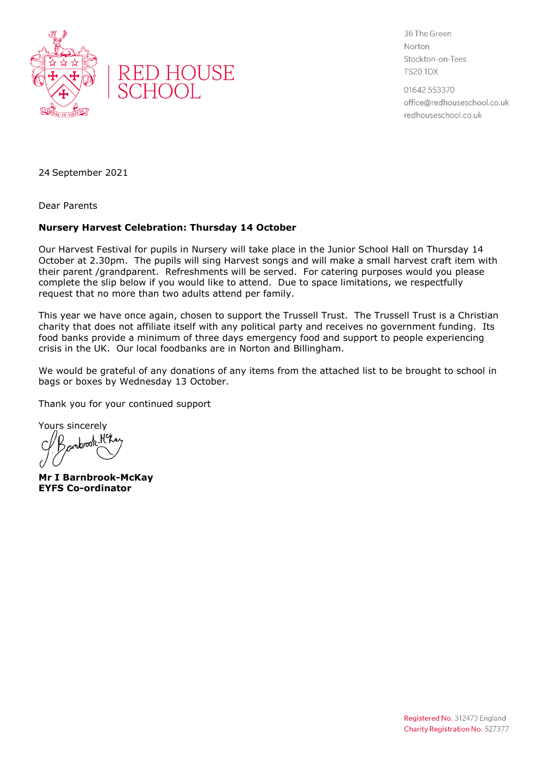



36 The Green Norton Stockton-on-Tees **TS20 1DX** 

01642 553370 office@redhouseschool.co.uk redhouseschool.co.uk

24 September 2021

Dear Parents

## **Nursery Harvest Celebration: Thursday 14 October**

Our Harvest Festival for pupils in Nursery will take place in the Junior School Hall on Thursday 14 October at 2.30pm. The pupils will sing Harvest songs and will make a small harvest craft item with their parent /grandparent. Refreshments will be served. For catering purposes would you please complete the slip below if you would like to attend. Due to space limitations, we respectfully request that no more than two adults attend per family.

This year we have once again, chosen to support the Trussell Trust. The Trussell Trust is a Christian charity that does not affiliate itself with any political party and receives no government funding. Its food banks provide a minimum of three days emergency food and support to people experiencing crisis in the UK. Our local foodbanks are in Norton and Billingham.

We would be grateful of any donations of any items from the attached list to be brought to school in bags or boxes by Wednesday 13 October.

Thank you for your continued support

Yours sincerely<br>C/R contactle H<sup>el</sup>k

**Mr I Barnbrook-McKay EYFS Co-ordinator**